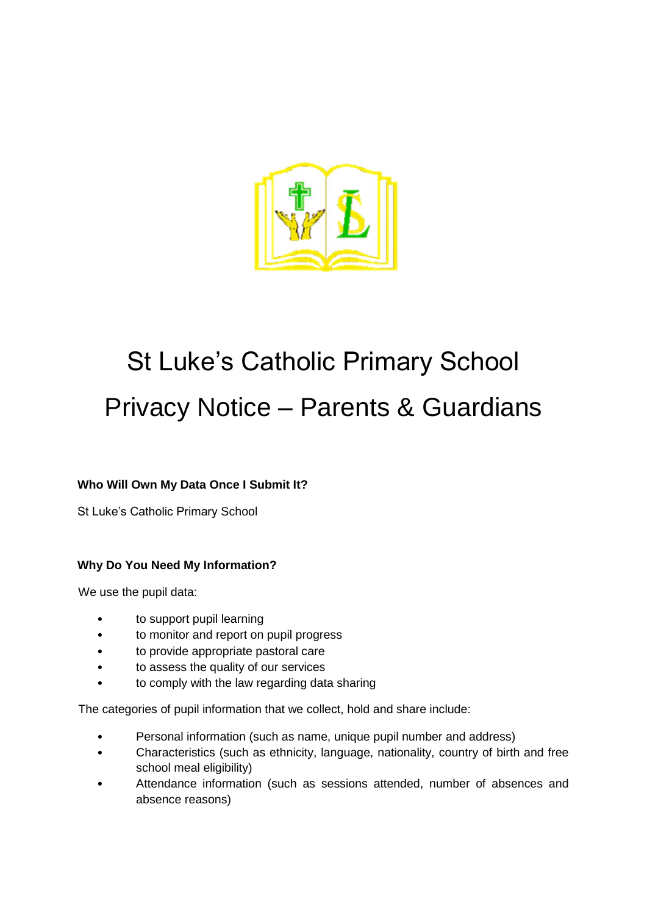

# St Luke's Catholic Primary School Privacy Notice – Parents & Guardians

# **Who Will Own My Data Once I Submit It?**

St Luke's Catholic Primary School

# **Why Do You Need My Information?**

We use the pupil data:

- to support pupil learning
- to monitor and report on pupil progress
- to provide appropriate pastoral care
- to assess the quality of our services
- to comply with the law regarding data sharing

The categories of pupil information that we collect, hold and share include:

- Personal information (such as name, unique pupil number and address)
- Characteristics (such as ethnicity, language, nationality, country of birth and free school meal eligibility)
- Attendance information (such as sessions attended, number of absences and absence reasons)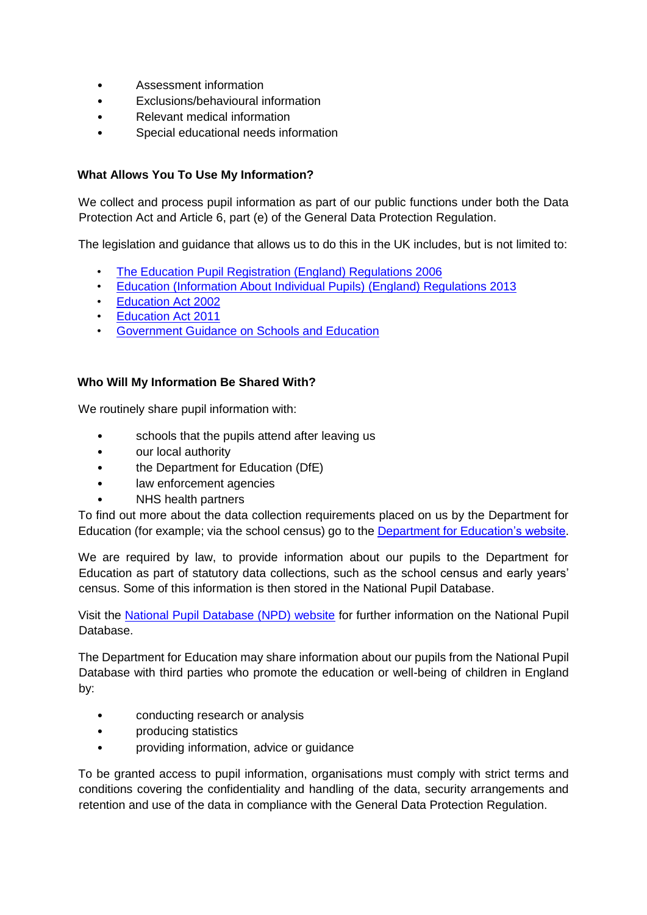- Assessment information
- Exclusions/behavioural information
- Relevant medical information
- Special educational needs information

## **What Allows You To Use My Information?**

We collect and process pupil information as part of our public functions under both the Data Protection Act and Article 6, part (e) of the General Data Protection Regulation.

The legislation and guidance that allows us to do this in the UK includes, but is not limited to:

- [The Education Pupil Registration \(England\) Regulations 2006](http://www.legislation.gov.uk/uksi/2006/1751/regulation/8/made)
- [Education \(Information About Individual Pupils\) \(England\) Regulations 2013](http://www.legislation.gov.uk/uksi/2013/2094/made)
- [Education Act 2002](http://www.legislation.gov.uk/ukpga/2002/32/section/175)
- [Education Act 2011](http://www.legislation.gov.uk/ukpga/2011/21/contents/enacted)
- [Government Guidance on Schools and Education](https://www.gov.uk/browse/childcare-parenting/schools-education)

#### **Who Will My Information Be Shared With?**

We routinely share pupil information with:

- schools that the pupils attend after leaving us
- our local authority
- the Department for Education (DfE)
- law enforcement agencies
- NHS health partners

To find out more about the data collection requirements placed on us by the Department for Education (for example; via the school census) go to the [Department for Education's website.](https://www.gov.uk/education/data-collection-and-censuses-for-schools)

We are required by law, to provide information about our pupils to the Department for Education as part of statutory data collections, such as the school census and early years' census. Some of this information is then stored in the National Pupil Database.

Visit the [National Pupil Database \(NPD\) website](https://www.gov.uk/government/publications/national-pupil-database-user-guide-and-supporting-information) for further information on the National Pupil Database.

The Department for Education may share information about our pupils from the National Pupil Database with third parties who promote the education or well-being of children in England by:

- conducting research or analysis
- producing statistics
- providing information, advice or guidance

To be granted access to pupil information, organisations must comply with strict terms and conditions covering the confidentiality and handling of the data, security arrangements and retention and use of the data in compliance with the General Data Protection Regulation.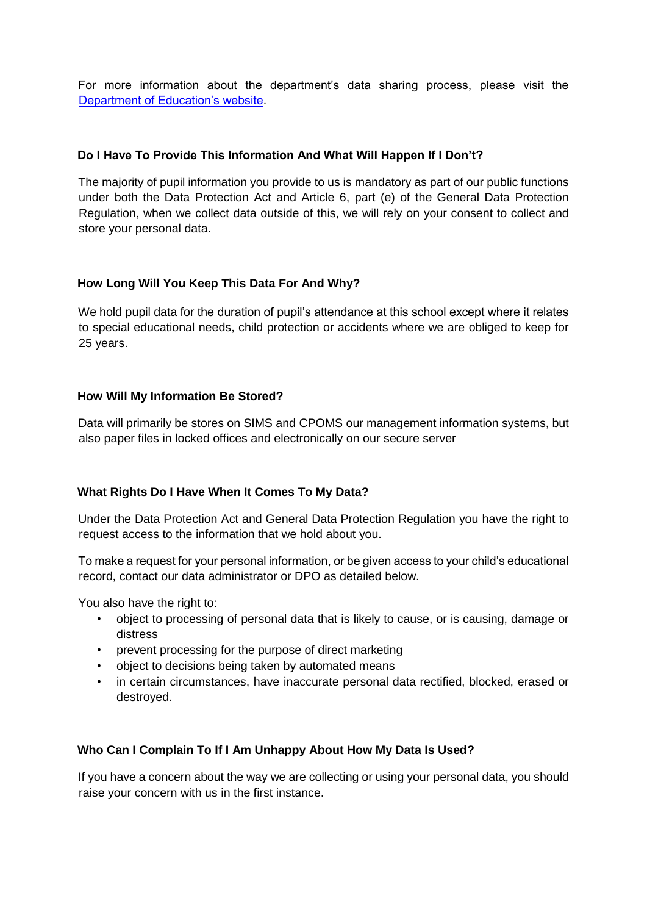For more information about the department's data sharing process, please visit the [Department of Education's website.](https://www.gov.uk/data-protection-how-we-collect-and-share-research-data) 

## **Do I Have To Provide This Information And What Will Happen If I Don't?**

The majority of pupil information you provide to us is mandatory as part of our public functions under both the Data Protection Act and Article 6, part (e) of the General Data Protection Regulation, when we collect data outside of this, we will rely on your consent to collect and store your personal data.

## **How Long Will You Keep This Data For And Why?**

We hold pupil data for the duration of pupil's attendance at this school except where it relates to special educational needs, child protection or accidents where we are obliged to keep for 25 years.

## **How Will My Information Be Stored?**

Data will primarily be stores on SIMS and CPOMS our management information systems, but also paper files in locked offices and electronically on our secure server

# **What Rights Do I Have When It Comes To My Data?**

Under the Data Protection Act and General Data Protection Regulation you have the right to request access to the information that we hold about you.

To make a request for your personal information, or be given access to your child's educational record, contact our data administrator or DPO as detailed below.

You also have the right to:

- object to processing of personal data that is likely to cause, or is causing, damage or distress
- prevent processing for the purpose of direct marketing
- object to decisions being taken by automated means
- in certain circumstances, have inaccurate personal data rectified, blocked, erased or destroyed.

#### **Who Can I Complain To If I Am Unhappy About How My Data Is Used?**

If you have a concern about the way we are collecting or using your personal data, you should raise your concern with us in the first instance.